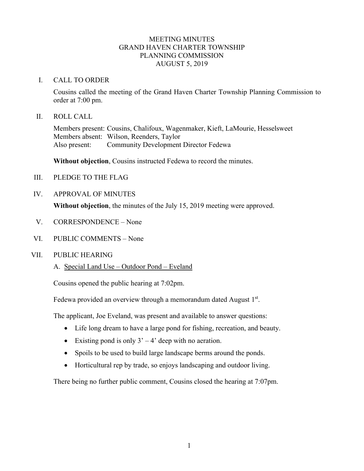# MEETING MINUTES GRAND HAVEN CHARTER TOWNSHIP PLANNING COMMISSION AUGUST 5, 2019

### I. CALL TO ORDER

Cousins called the meeting of the Grand Haven Charter Township Planning Commission to order at 7:00 pm.

### II. ROLL CALL

Members present: Cousins, Chalifoux, Wagenmaker, Kieft, LaMourie, Hesselsweet Members absent: Wilson, Reenders, Taylor Also present: Community Development Director Fedewa

**Without objection**, Cousins instructed Fedewa to record the minutes.

- III. PLEDGE TO THE FLAG
- IV. APPROVAL OF MINUTES

**Without objection**, the minutes of the July 15, 2019 meeting were approved.

- V. CORRESPONDENCE None
- VI. PUBLIC COMMENTS None

## VII. PUBLIC HEARING

## A. Special Land Use – Outdoor Pond – Eveland

Cousins opened the public hearing at 7:02pm.

Fedewa provided an overview through a memorandum dated August  $1<sup>st</sup>$ .

The applicant, Joe Eveland, was present and available to answer questions:

- Life long dream to have a large pond for fishing, recreation, and beauty.
- Existing pond is only  $3' 4'$  deep with no aeration.
- Spoils to be used to build large landscape berms around the ponds.
- Horticultural rep by trade, so enjoys landscaping and outdoor living.

There being no further public comment, Cousins closed the hearing at 7:07pm.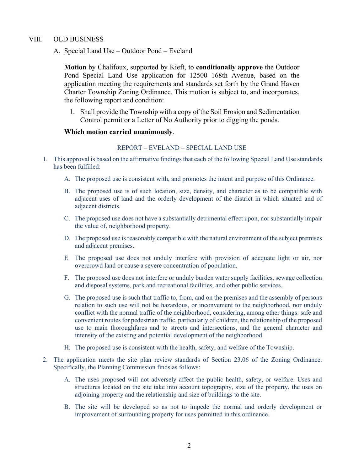## VIII. OLD BUSINESS

### A. Special Land Use – Outdoor Pond – Eveland

**Motion** by Chalifoux, supported by Kieft, to **conditionally approve** the Outdoor Pond Special Land Use application for 12500 168th Avenue, based on the application meeting the requirements and standards set forth by the Grand Haven Charter Township Zoning Ordinance. This motion is subject to, and incorporates, the following report and condition:

1. Shall provide the Township with a copy of the Soil Erosion and Sedimentation Control permit or a Letter of No Authority prior to digging the ponds.

#### **Which motion carried unanimously**.

#### REPORT – EVELAND – SPECIAL LAND USE

- 1. This approval is based on the affirmative findings that each of the following Special Land Use standards has been fulfilled:
	- A. The proposed use is consistent with, and promotes the intent and purpose of this Ordinance.
	- B. The proposed use is of such location, size, density, and character as to be compatible with adjacent uses of land and the orderly development of the district in which situated and of adjacent districts.
	- C. The proposed use does not have a substantially detrimental effect upon, nor substantially impair the value of, neighborhood property.
	- D. The proposed use is reasonably compatible with the natural environment of the subject premises and adjacent premises.
	- E. The proposed use does not unduly interfere with provision of adequate light or air, nor overcrowd land or cause a severe concentration of population.
	- F. The proposed use does not interfere or unduly burden water supply facilities, sewage collection and disposal systems, park and recreational facilities, and other public services.
	- G. The proposed use is such that traffic to, from, and on the premises and the assembly of persons relation to such use will not be hazardous, or inconvenient to the neighborhood, nor unduly conflict with the normal traffic of the neighborhood, considering, among other things: safe and convenient routes for pedestrian traffic, particularly of children, the relationship of the proposed use to main thoroughfares and to streets and intersections, and the general character and intensity of the existing and potential development of the neighborhood.
	- H. The proposed use is consistent with the health, safety, and welfare of the Township.
- 2. The application meets the site plan review standards of Section 23.06 of the Zoning Ordinance. Specifically, the Planning Commission finds as follows:
	- A. The uses proposed will not adversely affect the public health, safety, or welfare. Uses and structures located on the site take into account topography, size of the property, the uses on adjoining property and the relationship and size of buildings to the site.
	- B. The site will be developed so as not to impede the normal and orderly development or improvement of surrounding property for uses permitted in this ordinance.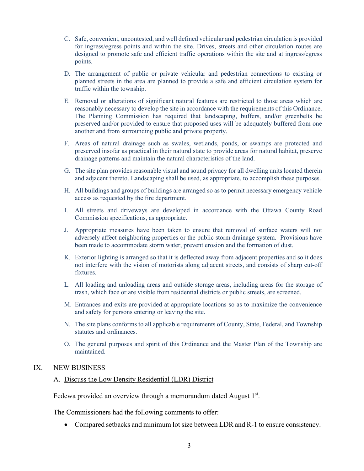- C. Safe, convenient, uncontested, and well defined vehicular and pedestrian circulation is provided for ingress/egress points and within the site. Drives, streets and other circulation routes are designed to promote safe and efficient traffic operations within the site and at ingress/egress points.
- D. The arrangement of public or private vehicular and pedestrian connections to existing or planned streets in the area are planned to provide a safe and efficient circulation system for traffic within the township.
- E. Removal or alterations of significant natural features are restricted to those areas which are reasonably necessary to develop the site in accordance with the requirements of this Ordinance. The Planning Commission has required that landscaping, buffers, and/or greenbelts be preserved and/or provided to ensure that proposed uses will be adequately buffered from one another and from surrounding public and private property.
- F. Areas of natural drainage such as swales, wetlands, ponds, or swamps are protected and preserved insofar as practical in their natural state to provide areas for natural habitat, preserve drainage patterns and maintain the natural characteristics of the land.
- G. The site plan provides reasonable visual and sound privacy for all dwelling units located therein and adjacent thereto. Landscaping shall be used, as appropriate, to accomplish these purposes.
- H. All buildings and groups of buildings are arranged so as to permit necessary emergency vehicle access as requested by the fire department.
- I. All streets and driveways are developed in accordance with the Ottawa County Road Commission specifications, as appropriate.
- J. Appropriate measures have been taken to ensure that removal of surface waters will not adversely affect neighboring properties or the public storm drainage system. Provisions have been made to accommodate storm water, prevent erosion and the formation of dust.
- K. Exterior lighting is arranged so that it is deflected away from adjacent properties and so it does not interfere with the vision of motorists along adjacent streets, and consists of sharp cut-off fixtures.
- L. All loading and unloading areas and outside storage areas, including areas for the storage of trash, which face or are visible from residential districts or public streets, are screened.
- M. Entrances and exits are provided at appropriate locations so as to maximize the convenience and safety for persons entering or leaving the site.
- N. The site plans conforms to all applicable requirements of County, State, Federal, and Township statutes and ordinances.
- O. The general purposes and spirit of this Ordinance and the Master Plan of the Township are maintained.

# IX. NEW BUSINESS

## A. Discuss the Low Density Residential (LDR) District

Fedewa provided an overview through a memorandum dated August  $1<sup>st</sup>$ .

The Commissioners had the following comments to offer:

• Compared setbacks and minimum lot size between LDR and R-1 to ensure consistency.